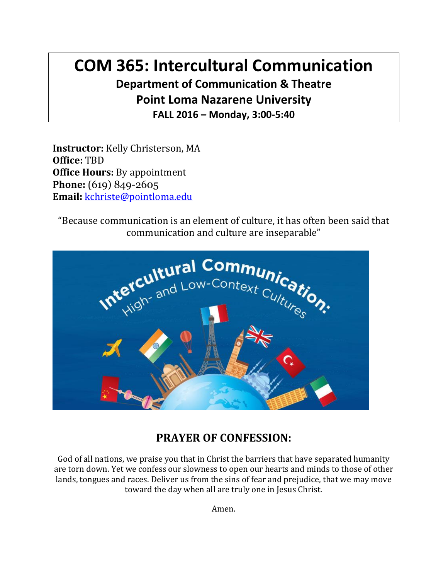# **COM 365: Intercultural Communication Department of Communication & Theatre Point Loma Nazarene University**

**FALL 2016 – Monday, 3:00-5:40**

**Instructor:** Kelly Christerson, MA **Office:** TBD **Office Hours:** By appointment Phone: (619) 849-2605 **Email:** [kchriste@pointloma.edu](mailto:kchriste@pointloma.edu)

"Because communication is an element of culture, it has often been said that communication and culture are inseparable"



#### **PRAYER OF CONFESSION:**

God of all nations, we praise you that in Christ the barriers that have separated humanity are torn down. Yet we confess our slowness to open our hearts and minds to those of other lands, tongues and races. Deliver us from the sins of fear and prejudice, that we may move toward the day when all are truly one in Jesus Christ.

Amen.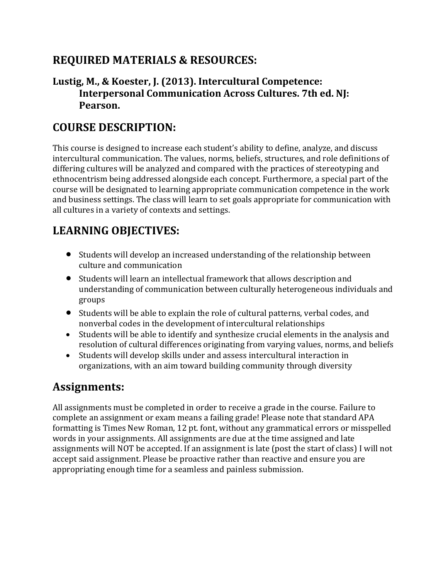#### **REQUIRED MATERIALS & RESOURCES:**

#### **Lustig, M., & Koester, J. (2013). Intercultural Competence: Interpersonal Communication Across Cultures. 7th ed. NJ: Pearson.**

#### **COURSE DESCRIPTION:**

This course is designed to increase each student's ability to define, analyze, and discuss intercultural communication. The values, norms, beliefs, structures, and role definitions of differing cultures will be analyzed and compared with the practices of stereotyping and ethnocentrism being addressed alongside each concept. Furthermore, a special part of the course will be designated to learning appropriate communication competence in the work and business settings. The class will learn to set goals appropriate for communication with all cultures in a variety of contexts and settings.

#### **LEARNING OBJECTIVES:**

- Students will develop an increased understanding of the relationship between culture and communication
- Students will learn an intellectual framework that allows description and understanding of communication between culturally heterogeneous individuals and groups
- Students will be able to explain the role of cultural patterns, verbal codes, and nonverbal codes in the development of intercultural relationships
- Students will be able to identify and synthesize crucial elements in the analysis and resolution of cultural differences originating from varying values, norms, and beliefs
- Students will develop skills under and assess intercultural interaction in organizations, with an aim toward building community through diversity

#### **Assignments:**

All assignments must be completed in order to receive a grade in the course. Failure to complete an assignment or exam means a failing grade! Please note that standard APA formatting is Times New Roman, 12 pt. font, without any grammatical errors or misspelled words in your assignments. All assignments are due at the time assigned and late assignments will NOT be accepted. If an assignment is late (post the start of class) I will not accept said assignment. Please be proactive rather than reactive and ensure you are appropriating enough time for a seamless and painless submission.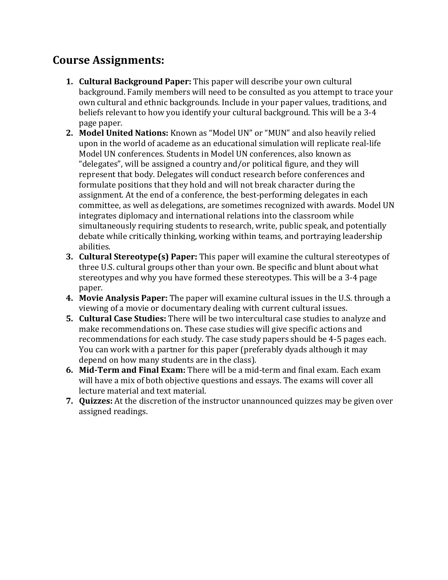#### **Course Assignments:**

- **1. Cultural Background Paper:** This paper will describe your own cultural background. Family members will need to be consulted as you attempt to trace your own cultural and ethnic backgrounds. Include in your paper values, traditions, and beliefs relevant to how you identify your cultural background. This will be a 3-4 page paper.
- **2. Model United Nations:** Known as "Model UN" or "MUN" and also heavily relied upon in the world of academe as an educational simulation will replicate real-life Model UN conferences. Students in Model UN conferences, also known as "delegates", will be assigned a country and/or political figure, and they will represent that body. Delegates will conduct research before conferences and formulate positions that they hold and will not break character during the assignment. At the end of a conference, the best-performing delegates in each committee, as well as delegations, are sometimes recognized with awards. Model UN integrates diplomacy and international relations into the classroom while simultaneously requiring students to research, write, public speak, and potentially debate while critically thinking, working within teams, and portraying leadership abilities.
- **3. Cultural Stereotype(s) Paper:** This paper will examine the cultural stereotypes of three U.S. cultural groups other than your own. Be specific and blunt about what stereotypes and why you have formed these stereotypes. This will be a 3-4 page paper.
- **4. Movie Analysis Paper:** The paper will examine cultural issues in the U.S. through a viewing of a movie or documentary dealing with current cultural issues.
- **5. Cultural Case Studies:** There will be two intercultural case studies to analyze and make recommendations on. These case studies will give specific actions and recommendations for each study. The case study papers should be 4-5 pages each. You can work with a partner for this paper (preferably dyads although it may depend on how many students are in the class).
- **6. Mid-Term and Final Exam:** There will be a mid-term and final exam. Each exam will have a mix of both objective questions and essays. The exams will cover all lecture material and text material.
- **7. Quizzes:** At the discretion of the instructor unannounced quizzes may be given over assigned readings.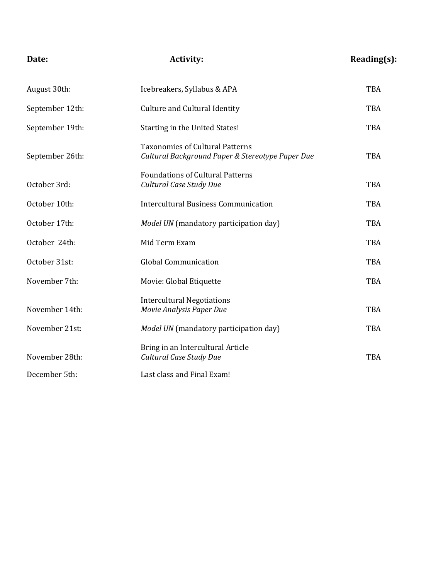| Date:           | <b>Activity:</b>                                                                           | Reading(s): |
|-----------------|--------------------------------------------------------------------------------------------|-------------|
| August 30th:    | Icebreakers, Syllabus & APA                                                                | <b>TBA</b>  |
| September 12th: | <b>Culture and Cultural Identity</b>                                                       | <b>TBA</b>  |
| September 19th: | Starting in the United States!                                                             | <b>TBA</b>  |
| September 26th: | <b>Taxonomies of Cultural Patterns</b><br>Cultural Background Paper & Stereotype Paper Due | <b>TBA</b>  |
| October 3rd:    | <b>Foundations of Cultural Patterns</b><br>Cultural Case Study Due                         | <b>TBA</b>  |
| October 10th:   | <b>Intercultural Business Communication</b>                                                | <b>TBA</b>  |
| October 17th:   | Model UN (mandatory participation day)                                                     | <b>TBA</b>  |
| October 24th:   | Mid Term Exam                                                                              | <b>TBA</b>  |
| October 31st:   | <b>Global Communication</b>                                                                | <b>TBA</b>  |
| November 7th:   | Movie: Global Etiquette                                                                    | <b>TBA</b>  |
| November 14th:  | <b>Intercultural Negotiations</b><br>Movie Analysis Paper Due                              | <b>TBA</b>  |
| November 21st:  | Model UN (mandatory participation day)                                                     | <b>TBA</b>  |
| November 28th:  | Bring in an Intercultural Article<br>Cultural Case Study Due                               | <b>TBA</b>  |
| December 5th:   | Last class and Final Exam!                                                                 |             |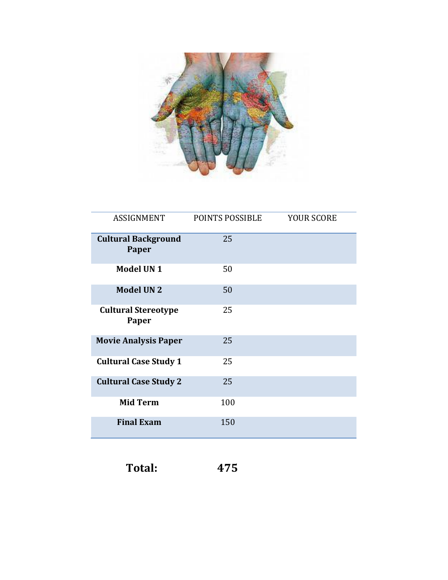

| <b>ASSIGNMENT</b>                   | POINTS POSSIBLE | <b>YOUR SCORE</b> |
|-------------------------------------|-----------------|-------------------|
| <b>Cultural Background</b><br>Paper | 25              |                   |
| <b>Model UN1</b>                    | 50              |                   |
| <b>Model UN2</b>                    | 50              |                   |
| <b>Cultural Stereotype</b><br>Paper | 25              |                   |
| <b>Movie Analysis Paper</b>         | 25              |                   |
| <b>Cultural Case Study 1</b>        | 25              |                   |
| <b>Cultural Case Study 2</b>        | 25              |                   |
| <b>Mid Term</b>                     | 100             |                   |
| <b>Final Exam</b>                   | 150             |                   |

| 475 |  |
|-----|--|
|     |  |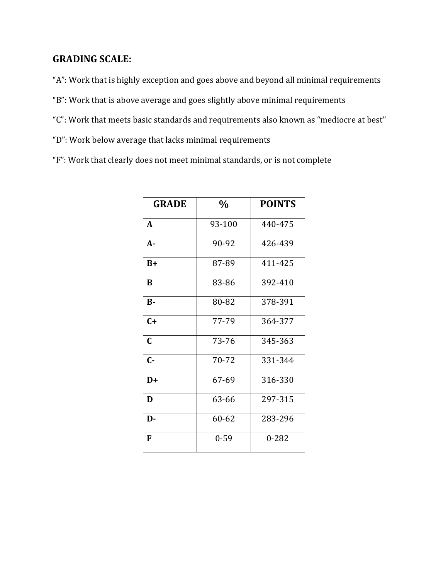#### **GRADING SCALE:**

"A": Work that is highly exception and goes above and beyond all minimal requirements

- "B": Work that is above average and goes slightly above minimal requirements
- "C": Work that meets basic standards and requirements also known as "mediocre at best"
- "D": Work below average that lacks minimal requirements
- "F": Work that clearly does not meet minimal standards, or is not complete

| <b>GRADE</b> | $\frac{0}{0}$ | <b>POINTS</b> |
|--------------|---------------|---------------|
| A            | 93-100        | 440-475       |
| $A -$        | 90-92         | 426-439       |
| $B+$         | 87-89         | 411-425       |
| B            | 83-86         | 392-410       |
| $B -$        | 80-82         | 378-391       |
| $C+$         | 77-79         | 364-377       |
| $\mathbf C$  | 73-76         | 345-363       |
| $C -$        | 70-72         | 331-344       |
| D+           | 67-69         | 316-330       |
| D            | 63-66         | 297-315       |
| D-           | 60-62         | 283-296       |
| F            | $0 - 59$      | $0 - 282$     |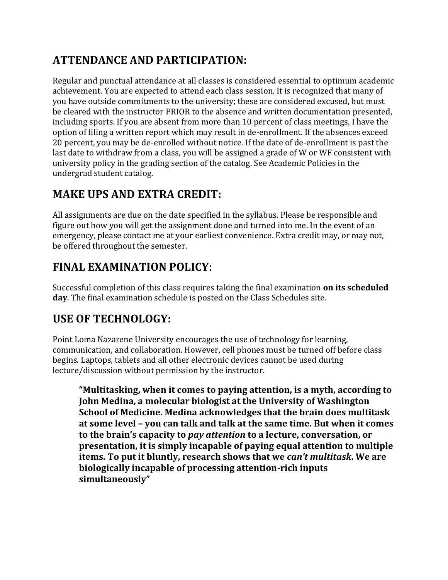## **ATTENDANCE AND PARTICIPATION:**

Regular and punctual attendance at all classes is considered essential to optimum academic achievement. You are expected to attend each class session. It is recognized that many of you have outside commitments to the university; these are considered excused, but must be cleared with the instructor PRIOR to the absence and written documentation presented, including sports. If you are absent from more than 10 percent of class meetings, I have the option of filing a written report which may result in de-enrollment. If the absences exceed 20 percent, you may be de-enrolled without notice. If the date of de-enrollment is past the last date to withdraw from a class, you will be assigned a grade of W or WF consistent with university policy in the grading section of the catalog. See Academic Policies in the undergrad student catalog.

#### **MAKE UPS AND EXTRA CREDIT:**

All assignments are due on the date specified in the syllabus. Please be responsible and figure out how you will get the assignment done and turned into me. In the event of an emergency, please contact me at your earliest convenience. Extra credit may, or may not, be offered throughout the semester.

#### **FINAL EXAMINATION POLICY:**

Successful completion of this class requires taking the final examination **on its scheduled day**. The final examination schedule is posted on the Class Schedules site.

## **USE OF TECHNOLOGY:**

Point Loma Nazarene University encourages the use of technology for learning, communication, and collaboration. However, cell phones must be turned off before class begins. Laptops, tablets and all other electronic devices cannot be used during lecture/discussion without permission by the instructor.

**"Multitasking, when it comes to paying attention, is a myth, according to John Medina, a molecular biologist at the University of Washington School of Medicine. Medina acknowledges that the brain does multitask at some level – you can talk and talk at the same time. But when it comes to the brain's capacity to** *pay attention* **to a lecture, conversation, or presentation, it is simply incapable of paying equal attention to multiple items. To put it bluntly, research shows that we** *can't multitask***. We are biologically incapable of processing attention-rich inputs simultaneously"**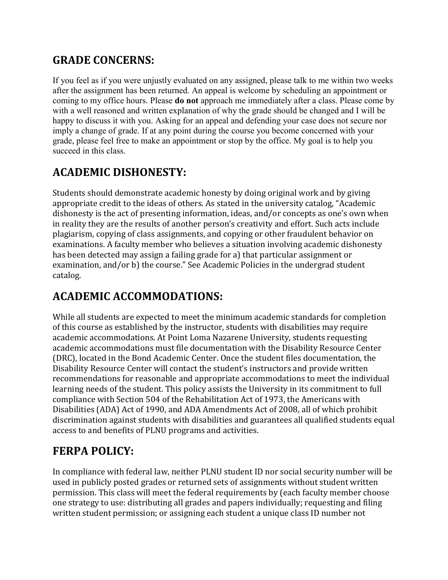#### **GRADE CONCERNS:**

If you feel as if you were unjustly evaluated on any assigned, please talk to me within two weeks after the assignment has been returned. An appeal is welcome by scheduling an appointment or coming to my office hours. Please **do not** approach me immediately after a class. Please come by with a well reasoned and written explanation of why the grade should be changed and I will be happy to discuss it with you. Asking for an appeal and defending your case does not secure nor imply a change of grade. If at any point during the course you become concerned with your grade, please feel free to make an appointment or stop by the office. My goal is to help you succeed in this class.

## **ACADEMIC DISHONESTY:**

Students should demonstrate academic honesty by doing original work and by giving appropriate credit to the ideas of others. As stated in the university catalog, "Academic dishonesty is the act of presenting information, ideas, and/or concepts as one's own when in reality they are the results of another person's creativity and effort. Such acts include plagiarism, copying of class assignments, and copying or other fraudulent behavior on examinations. A faculty member who believes a situation involving academic dishonesty has been detected may assign a failing grade for a) that particular assignment or examination, and/or b) the course." See Academic Policies in the undergrad student catalog.

#### **ACADEMIC ACCOMMODATIONS:**

While all students are expected to meet the minimum academic standards for completion of this course as established by the instructor, students with disabilities may require academic accommodations. At Point Loma Nazarene University, students requesting academic accommodations must file documentation with the Disability Resource Center (DRC), located in the Bond Academic Center. Once the student files documentation, the Disability Resource Center will contact the student's instructors and provide written recommendations for reasonable and appropriate accommodations to meet the individual learning needs of the student. This policy assists the University in its commitment to full compliance with Section 504 of the Rehabilitation Act of 1973, the Americans with Disabilities (ADA) Act of 1990, and ADA Amendments Act of 2008, all of which prohibit discrimination against students with disabilities and guarantees all qualified students equal access to and benefits of PLNU programs and activities.

## **FERPA POLICY:**

In compliance with federal law, neither PLNU student ID nor social security number will be used in publicly posted grades or returned sets of assignments without student written permission. This class will meet the federal requirements by (each faculty member choose one strategy to use: distributing all grades and papers individually; requesting and filing written student permission; or assigning each student a unique class ID number not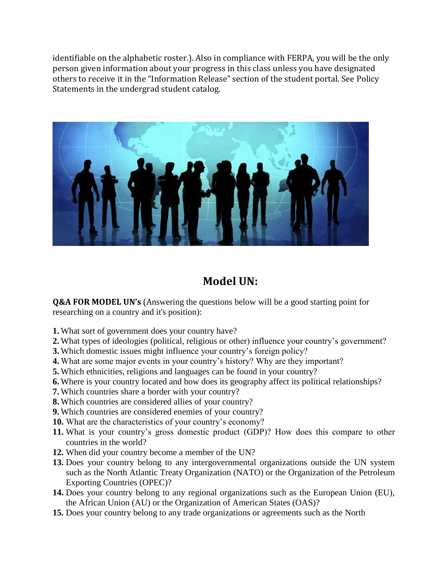identifiable on the alphabetic roster.). Also in compliance with FERPA, you will be the only person given information about your progress in this class unless you have designated others to receive it in the "Information Release" section of the student portal. See Policy Statements in the undergrad student catalog.



## **Model UN:**

**Q&A FOR MODEL UN's** (Answering the questions below will be a good starting point for researching on a country and it's position):

- **1.** What sort of government does your country have?
- **2.** What types of ideologies (political, religious or other) influence your country's government?
- **3.** Which domestic issues might influence your country's foreign policy?
- **4.** What are some major events in your country's history? Why are they important?
- **5.** Which ethnicities, religions and languages can be found in your country?
- **6.** Where is your country located and how does its geography affect its political relationships?
- **7.** Which countries share a border with your country?
- **8.** Which countries are considered allies of your country?
- **9.** Which countries are considered enemies of your country?
- **10.** What are the characteristics of your country's economy?
- **11.** What is your country's gross domestic product (GDP)? How does this compare to other countries in the world?
- **12.** When did your country become a member of the UN?
- **13.** Does your country belong to any intergovernmental organizations outside the UN system such as the North Atlantic Treaty Organization (NATO) or the Organization of the Petroleum Exporting Countries (OPEC)?
- **14.** Does your country belong to any regional organizations such as the European Union (EU), the African Union (AU) or the Organization of American States (OAS)?
- **15.** Does your country belong to any trade organizations or agreements such as the North